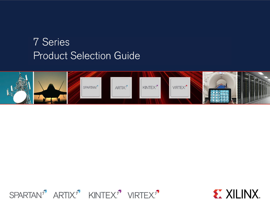# **7 Series Product Selection Guide**





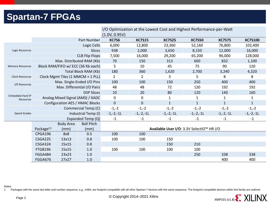### **Spartan-7 FPGAs**

|                                      |                                    |                            |                                   | I/O Optimization at the Lowest Cost and Highest Performance-per-Watt |               |               |               |               |                |  |  |  |
|--------------------------------------|------------------------------------|----------------------------|-----------------------------------|----------------------------------------------------------------------|---------------|---------------|---------------|---------------|----------------|--|--|--|
|                                      |                                    |                            |                                   | (1.0V, 0.95V)                                                        |               |               |               |               |                |  |  |  |
|                                      |                                    |                            | Part Number                       | <b>XC7S6</b>                                                         | <b>XC7S15</b> | <b>XC7S25</b> | <b>XC7S50</b> | <b>XC7S75</b> | <b>XC7S100</b> |  |  |  |
|                                      |                                    |                            | Logic Cells                       | 6,000                                                                | 12,800        | 23,360        | 52,160        | 76,800        | 102,400        |  |  |  |
| <b>Logic Resources</b>               |                                    |                            | Slices                            | 938                                                                  | 2,000         | 3,650         | 8,150         | 12,000        | 16,000         |  |  |  |
|                                      |                                    |                            | <b>CLB Flip-Flops</b>             | 7,500                                                                | 16,000        | 29,200        | 65,200        | 96,000        | 128,000        |  |  |  |
|                                      |                                    |                            | Max. Distributed RAM (Kb)         | 70                                                                   | 150           | 313           | 600           | 832           | 1,100          |  |  |  |
| <b>Memory Resources</b>              | Block RAM/FIFO w/ ECC (36 Kb each) |                            |                                   | 5                                                                    | 10            | 45            | 75            | 90            | 120            |  |  |  |
|                                      |                                    |                            | Total Block RAM (Kb)              | 180                                                                  | 360           | 1,620         | 2,700         | 3,240         | 4,320          |  |  |  |
| <b>Clock Resources</b>               |                                    |                            | Clock Mgmt Tiles (1 MMCM + 1 PLL) | $\overline{2}$                                                       | 2             | 3             | 5             | 8             | 8              |  |  |  |
|                                      |                                    | Max. Single-Ended I/O Pins |                                   | 100                                                                  | 100           | 150           | 250           | 400           | 400            |  |  |  |
|                                      | I/O Resources                      |                            | Max. Differential I/O Pairs       | 48                                                                   | 48            | 72            | 120           | 192           | 192            |  |  |  |
| <b>Embedded Hard IP</b><br>Resources |                                    |                            | <b>DSP Slices</b>                 | 10                                                                   | 20            | 80            | 120           | 140           | 160            |  |  |  |
|                                      |                                    |                            | Analog Mixed Signal (AMS) / XADC  | 0                                                                    | 0             | 1             | 1             |               | 1              |  |  |  |
|                                      | Configuration AES / HMAC Blocks    |                            |                                   | $\overline{0}$                                                       | $\mathbf 0$   | $\mathbf{1}$  | $\mathbf{1}$  | $\mathbf{1}$  | $\mathbf{1}$   |  |  |  |
|                                      |                                    | Commercial Temp (C)        |                                   | $-1,-2$                                                              | $-1,-2$       | $-1,-2$       | $-1,-2$       | $-1,-2$       | $-1,-2$        |  |  |  |
| <b>Speed Grades</b>                  | Industrial Temp (I)                |                            |                                   | $-1,-2,-11$                                                          | $-1,-2,-11$   | $-1,-2,-11$   | $-1,-2,-11$   | $-1,-2,-11$   | $-1,-2,-1$     |  |  |  |
|                                      |                                    | Expanded Temp (Q)          |                                   |                                                                      | $-1$          | $-1$          | $-1$          | $-1$          | $-1$           |  |  |  |
|                                      |                                    | <b>Body Area</b>           | <b>Ball Pitch</b>                 |                                                                      |               |               |               |               |                |  |  |  |
|                                      | Package <sup>(1)</sup>             | (mm)                       | (mm)                              | Available User I/O: 3.3V SelectIO™ HR I/O                            |               |               |               |               |                |  |  |  |
|                                      | CPGA196                            | 8x8                        | 0.5                               | 100                                                                  | 100           |               |               |               |                |  |  |  |
|                                      | CSGA225                            | 13x13                      | 0.8                               | 100                                                                  | 100           | 150           |               |               |                |  |  |  |
|                                      | CSGA324                            | 15x15                      | 0.8                               |                                                                      |               | 150           | 210           |               |                |  |  |  |
|                                      | FTGB196                            | 15x15                      | 1.0                               | 100                                                                  | 100           | 100           | 100           |               |                |  |  |  |
|                                      | FGGA484                            | 23x23                      | 1.0                               |                                                                      |               |               | 250           | 338           | 338            |  |  |  |
|                                      | FGGA676                            | 27x27                      | 1.0                               |                                                                      |               |               |               | 400           | 400            |  |  |  |

Notes:

1. Packages with the same last letter and number sequence, e.g., A484, are footprint compatible with all other Spartan-7 devices with the same sequence. The footprint compatible devices within this family are outlined.

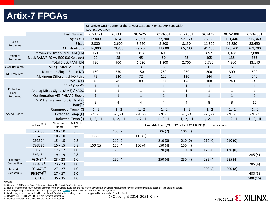### **Artix-7 FPGAs**

| Transceiver Optimization at the Lowest Cost and Highest DSP Bandwidth<br>(1.0V, 0.95V, 0.9V) |                                        |                                  |                                       |                                                              |               |                         |               |               |               |                  |                 |
|----------------------------------------------------------------------------------------------|----------------------------------------|----------------------------------|---------------------------------------|--------------------------------------------------------------|---------------|-------------------------|---------------|---------------|---------------|------------------|-----------------|
|                                                                                              |                                        |                                  | Part Number                           | XC7A12T                                                      | XC7A15T       | XC7A25T                 | XC7A35T       | XC7A50T       | XC7A75T       | <b>XC7A100T</b>  | <b>XC7A200T</b> |
|                                                                                              |                                        |                                  | Logic Cells                           | 12,800                                                       | 16,640        | 23,360                  | 33,280        | 52,160        | 75,520        | 101,440          | 215,360         |
| Logic<br>Resources                                                                           |                                        |                                  | Slices                                | 2,000                                                        | 2,600         | 3,650                   | 5,200         | 8,150         | 11,800        | 15,850           | 33,650          |
|                                                                                              |                                        |                                  | <b>CLB Flip-Flops</b>                 | 16,000                                                       | 20,800        | 29,200                  | 41,600        | 65,200        | 94,400        | 126,800          | 269,200         |
|                                                                                              |                                        | Maximum Distributed RAM (Kb)     |                                       | 171                                                          | 200           | 313                     | 400           | 600           | 892           | 1,188            | 2,888           |
| Memory<br>Resources                                                                          | Block RAM/FIFO w/ ECC (36 Kb each)     |                                  |                                       | 20                                                           | 25            | 45                      | 50            | 75            | 105           | 135              | 365             |
|                                                                                              |                                        |                                  | Total Block RAM (Kb)                  | 720                                                          | 900           | 1,620                   | 1,800         | 2,700         | 3,780         | 4,860            | 13,140          |
| <b>Clock Resources</b>                                                                       |                                        | CMTs (1 MMCM + 1 PLL)            |                                       | $\mathbf{3}$                                                 | 5             | $\overline{3}$          | 5             | 5             | 6             | $\boldsymbol{6}$ | 10              |
| I/O Resources                                                                                |                                        | Maximum Single-Ended I/O         |                                       | 150                                                          | 250           | 150                     | 250           | 250           | 300           | 300              | 500             |
|                                                                                              |                                        | Maximum Differential I/O Pairs   |                                       | 72                                                           | 120           | 72                      | 120           | 120           | 144           | 144              | 240             |
|                                                                                              |                                        |                                  | <b>DSP Slices</b>                     | 40                                                           | 45            | 80                      | 90            | 120           | 180           | 240              | 740             |
|                                                                                              |                                        |                                  | PCIe <sup>®</sup> Gen2 <sup>(1)</sup> | $\mathbf{1}$                                                 | $\mathbf{1}$  | $\mathbf{1}$            | $1\,$         | $\mathbf{1}$  | $\mathbf{1}$  | $\mathbf 1$      | $\mathbf{1}$    |
| Embedded<br>Hard IP<br>Resources                                                             |                                        | Analog Mixed Signal (AMS) / XADC |                                       | $\mathbf{1}$                                                 | $\mathbf{1}$  | $\mathbf{1}$            | $\mathbf{1}$  | $\mathbf{1}$  | $1\,$         | $\mathbf{1}$     | $\mathbf{1}$    |
|                                                                                              | <b>Configuration AES / HMAC Blocks</b> |                                  |                                       | $\mathbf{1}$                                                 | $\mathbf{1}$  | $\mathbf{1}$            | $\mathbf{1}$  | $\mathbf{1}$  | $\mathbf{1}$  | $\mathbf{1}$     | $\mathbf{1}$    |
|                                                                                              |                                        | GTP Transceivers (6.6 Gb/s Max   | Rate $)^{(2)}$                        | $\overline{2}$                                               | 4             | $\overline{\mathbf{4}}$ | $\pmb{4}$     | 4             | 8             | 8                | 16              |
|                                                                                              |                                        | Commercial Temp (C)              |                                       | $-1, -2$                                                     | $-1, -2$      | $-1, -2$                | $-1, -2$      | $-1, -2$      | $-1, -2$      | $-1, -2$         | $-1, -2$        |
| <b>Speed Grades</b>                                                                          |                                        |                                  | Extended Temp (E)                     | $-2L, -3$                                                    | $-2L, -3$     | $-2L, -3$               | $-2L, -3$     | $-2L, -3$     | $-2L, -3$     | $-2L, -3$        | $-2L, -3$       |
|                                                                                              |                                        |                                  | Industrial Temp (I)                   | $-1, -2, -11$                                                | $-1, -2, -11$ | $-1, -2, -11$           | $-1, -2, -11$ | $-1, -2, -11$ | $-1, -2, -11$ | $-1, -2, -11$    | $-1, -2, -11$   |
|                                                                                              | Package <sup>(3), (4)</sup>            | <b>Dimensions</b><br>(mm)        | <b>Ball Pitch</b><br>(mm)             | Available User I/O: 3.3V SelectIO™ HR I/O (GTP Transceivers) |               |                         |               |               |               |                  |                 |
|                                                                                              | CPG236                                 | $10 \times 10$                   | 0.5                                   |                                                              | 106(2)        |                         | 106(2)        | 106(2)        |               |                  |                 |
|                                                                                              | <b>CPG238</b>                          | $10 \times 10$                   | 0.5                                   | 112(2)                                                       |               | 112(2)                  |               |               |               |                  |                 |
|                                                                                              | <b>CSG324</b>                          | 15 x 15                          | 0.8                                   |                                                              | 210(0)        |                         | 210(0)        | 210(0)        | 210(0)        | 210(0)           |                 |
|                                                                                              | <b>CSG325</b>                          | $15 \times 15$                   | 0.8                                   | 150(2)                                                       | 150(4)        | 150(4)                  | 150(4)        | 150(4)        |               |                  |                 |
|                                                                                              | <b>FTG256</b>                          | 17 x 17                          | 1.0                                   |                                                              | 170(0)        |                         | 170(0)        | 170(0)        | 170(0)        | 170(0)           |                 |
|                                                                                              | <b>SBG484</b>                          | 19 x 19                          | 0.8                                   |                                                              |               |                         |               |               |               |                  | 285(4)          |
| Footprint                                                                                    | FGG484 <sup>(5)</sup>                  | 23 x 23                          | 1.0                                   |                                                              | 250(4)        |                         | 250(4)        | 250(4)        | 285(4)        | 285(4)           |                 |
| Compatible                                                                                   | FBG484 <sup>(5)</sup>                  | $23 \times 23$                   | 1.0                                   |                                                              |               |                         |               |               |               |                  | 285(4)          |
| Footprint                                                                                    | FGG676 <sup>(6)</sup>                  | 27 x 27                          | 1.0                                   |                                                              |               |                         |               |               | 300(8)        | 300(8)           |                 |
| Compatible                                                                                   | FBG676 <sup>(6)</sup>                  | $27 \times 27$                   | 1.0                                   |                                                              |               |                         |               |               |               |                  | 400(8)          |
|                                                                                              | FFG1156                                | $35 \times 35$                   | 1.0                                   |                                                              |               |                         |               |               |               |                  | 500(16)         |

Notes:

1. Supports PCI Express Base 2.1 specification at Gen1 and Gen2 data rates.

2. Represents the maximum number of transceivers available. Note that the majority of devices are available without transceivers. See the Package section of this table for details.

3. Leaded package option available for all packages. See [DS180,](http://www.xilinx.com/support/documentation/data_sheets/ds180_7Series_Overview.pdf) *7 Series FPGAs Overview* for package details.

4. Device migration is available within the Artix-7 family for like packages but is not supported between other 7 series families.

5. Devices in FGG484 and FBG484 are footprint compatible.

6. Devices in FGG676 and FBG676 are footprint compatible.

© Copyright 2014–2021 Xilinx

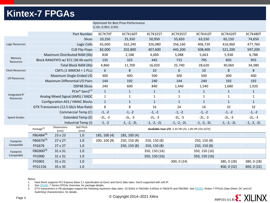### **Kintex-7 FPGAs**

|                            |                                        |                           |                                    |                     | Optimized for Best Price-Performance |                 |                                                     |                 |                 |                 |
|----------------------------|----------------------------------------|---------------------------|------------------------------------|---------------------|--------------------------------------|-----------------|-----------------------------------------------------|-----------------|-----------------|-----------------|
|                            |                                        |                           |                                    | (1.0V, 0.95V, 0.9V) |                                      |                 |                                                     |                 |                 |                 |
|                            |                                        |                           | <b>Part Number</b>                 | XC7K70T             | <b>XC7K160T</b>                      | <b>XC7K325T</b> | <b>XC7K355T</b>                                     | <b>XC7K410T</b> | <b>XC7K420T</b> | <b>XC7K480T</b> |
|                            |                                        |                           | Slices                             | 10,250              | 25,350                               | 50,950          | 55,650                                              | 63,550          | 65,150          | 74,650          |
| Logic Resources            | Logic Cells                            |                           |                                    | 65,600              | 162,240                              | 326,080         | 356,160                                             | 406,720         | 416,960         | 477,760         |
|                            | <b>CLB Flip-Flops</b>                  |                           |                                    | 82,000              | 202,800                              | 407,600         | 445,200                                             | 508,400         | 521,200         | 597,200         |
|                            |                                        |                           | Maximum Distributed RAM (Kb)       | 838                 | 2,188                                | 4,000           | 5,088                                               | 5,663           | 5,938           | 6,788           |
| Memory<br>Resources        |                                        |                           | Block RAM/FIFO w/ ECC (36 Kb each) | 135                 | 325                                  | 445             | 715                                                 | 795             | 835             | 955             |
|                            |                                        |                           | Total Block RAM (Kb)               | 4,860               | 11,700                               | 16,020          | 25,740                                              | 28,620          | 30,060          | 34,380          |
| <b>Clock Resources</b>     |                                        |                           | CMTs (1 MMCM + 1 PLL)              | 6                   | 8                                    | 10              | 6                                                   | 10              | 8               | 8               |
| I/O Resources              |                                        |                           | Maximum Single-Ended I/O           | 300                 | 400                                  | 500             | 300                                                 | 500             | 400             | 400             |
|                            |                                        |                           | Maximum Differential I/O Pairs     | 144                 | 192                                  | 240             | 144                                                 | 240             | 192             | 192             |
|                            |                                        |                           | <b>DSP48 Slices</b>                | 240                 | 600                                  | 840             | 1,440                                               | 1,540           | 1,680           | 1,920           |
|                            |                                        |                           | PCle® Gen2(1)                      | $\mathbf{1}$        | $\mathbf{1}$                         | $\mathbf{1}$    | $\mathbf{1}$                                        | $\mathbf{1}$    | $\mathbf{1}$    | $\mathbf{1}$    |
| Integrated IP<br>Resources | Analog Mixed Signal (AMS) / XADC       |                           |                                    | $\mathbf{1}$        | 1                                    | $\mathbf{1}$    | $\mathbf{1}$                                        | $\mathbf{1}$    | 1               | 1               |
|                            | <b>Configuration AES / HMAC Blocks</b> |                           |                                    | $1\,$               | $\mathbf{1}$                         | $\mathbf{1}$    | $\mathbf{1}$                                        | $\mathbf{1}$    | $\mathbf{1}$    | $\mathbf{1}$    |
|                            | GTX Transceivers (12.5 Gb/s Max Rate)  |                           | 8                                  | 8                   | 16                                   | 24              | 16                                                  | 32              | 32              |                 |
|                            | Commercial Temp (C)                    |                           |                                    | $-1, -2$            | $-1, -2$                             | $-1, -2$        | $-1, -2$                                            | $-1, -2$        | $-1, -2$        | $-1, -2$        |
| <b>Speed Grades</b>        | Extended Temp (E)                      |                           |                                    | $-2L, -3$           | $-2L, -3$                            | $-2L, -3$       | $-2L, -3$                                           | $-2L, -3$       | $-2L, -3$       | $-2L, -3$       |
|                            |                                        |                           | Industrial Temp (I)                | $-1, -2$            | $-1, -2, -2L$                        | $-1, -2, -2L$   | $-1, -2, -2L$                                       | $-1, -2, -2L$   | $-1, -2, -2L$   | $-1, -2, -2L$   |
|                            | Package <sup>(2)</sup>                 | <b>Dimensions</b><br>(mm) | <b>Ball Pitch</b><br>(mm)          |                     |                                      |                 | Available User I/O: 3.3V HR I/O, 1.8V HP I/Os (GTX) |                 |                 |                 |
|                            | FBG484(3)                              | 23 x 23                   | 1.0                                | 185, 100 (4)        | 185, 100 (4)                         |                 |                                                     |                 |                 |                 |
| Footprint                  | FBG676(3)                              | $27 \times 27$            | 1.0                                | 200, 100 (8)        | 250, 150 (8)                         | 250, 150 (8)    |                                                     | 250, 150 (8)    |                 |                 |
| Compatible                 | <b>FFG676</b>                          | $27 \times 27$            | 1.0                                |                     | 250, 150 (8)                         | 250, 150 (8)    |                                                     | 250, 150 (8)    |                 |                 |
| Footprint                  | FBG900(3)                              | 31 x 31                   | 1.0                                |                     |                                      | 350, 150 (16)   |                                                     | 350, 150 (16)   |                 |                 |
| Compatible                 | <b>FFG900</b>                          | 31 x 31                   | 1.0                                |                     |                                      | 350, 150 (16)   |                                                     | 350, 150 (16)   |                 |                 |
|                            | <b>FFG901</b>                          | 31 x 31                   | 1.0                                |                     |                                      |                 | 300, 0(24)                                          |                 | 380, 0 (28)     | 380, 0 (28)     |
|                            | <b>FFG1156</b>                         | 35 x 35                   | 1.0                                |                     |                                      |                 |                                                     |                 | 400, 0 (32)     | 400, 0 (32)     |

Notes:

1. Hard block supports PCI Express Base 2.1 specification at Gen1 and Gen2 data rates. Gen3 supported with soft IP.

2. See [DS180](http://www.xilinx.com/support/documentation/data_sheets/ds180_7Series_Overview.pdf), *7 Series FPGAs Overview,* for package details.

3. GTX transceivers in FB packages support the following maximum data rates: 10.3Gb/s in FBG484; 6.6Gb/s in FBG676 and FBG900. See [DS182,](https://www.xilinx.com/support/documentation/data_sheets/ds182_Kintex_7_Data_Sheet.pdf) *Kintex-7 FPGAs Data Sheet: DC and AC Switching Characteristics*, for details.

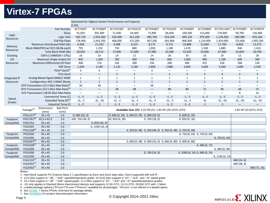# **Virtex-7 FPGAs**

|               |                                                      |                                                      |                                       | Optimized for Highest System Performance and Capacity<br>(1.0V) |                          |                                               |                   |                                                             |                          |                                |                          |                          |                          |                |
|---------------|------------------------------------------------------|------------------------------------------------------|---------------------------------------|-----------------------------------------------------------------|--------------------------|-----------------------------------------------|-------------------|-------------------------------------------------------------|--------------------------|--------------------------------|--------------------------|--------------------------|--------------------------|----------------|
|               |                                                      |                                                      | Part Number                           | <b>XC7V585T</b>                                                 | XC7V2000T                | XC7VX330T                                     | XC7VX415T         | XC7VX485T                                                   | XC7VX550T                | XC7VX690T                      | XC7VX980T                | XC7VX1140T               | XC7VH580T                | XC7VH870T      |
|               |                                                      |                                                      | Slices                                | 91,050                                                          | 305,400                  | 51,000                                        | 64,400            | 75,900                                                      | 86,600                   | 108,300                        | 153,000                  | 178,000                  | 90,700                   | 136,900        |
| Logic         |                                                      |                                                      | Logic Cells                           | 582,720                                                         | 1,954,560                | 326,400                                       | 412,160           | 485,760                                                     | 554,240                  | 693,120                        | 979,200                  | 1,139,200                | 580,480                  | 876,160        |
| Resources     |                                                      |                                                      | <b>CLB Flip-Flops</b>                 | 728,400                                                         | 2,443,200                | 408,000                                       | 515,200           | 607,200                                                     | 692,800                  | 866,400                        | 1,224,000                | 1,424,000                | 725,600                  | 1,095,200      |
|               |                                                      | Maximum Distributed RAM (Kb)                         |                                       | 6,938                                                           | 21,550                   | 4,388                                         | 6,525             | 8,175                                                       | 8,725                    | 10,888                         | 13,838                   | 17,700                   | 8,850                    | 13,275         |
| Memory        |                                                      | Block RAM/FIFO w/ ECC (36 Kb each)                   |                                       | 795                                                             | 1,292                    | 750                                           | 880               | 1,030                                                       | 1,180                    | 1,470                          | 1,500                    | 1,880                    | 940                      | 1,410          |
| Resources     |                                                      |                                                      | Total Block RAM (Kb)                  | 28,620                                                          | 46,512                   | 27,000                                        | 31,680            | 37,080                                                      | 42,480                   | 52,920                         | 54,000                   | 67,680                   | 33,840                   | 50,760         |
| Clocking      |                                                      |                                                      | CMTs (1 MMCM + 1 PLL)                 | 18                                                              | 24                       | 14                                            | 12                | 14                                                          | 20                       | 20                             | 18                       | 24                       | 12                       | 18             |
| I/O           |                                                      | Maximum Single-Ended I/O                             |                                       | 850                                                             | 1,200                    | 700                                           | 600               | 700                                                         | 600                      | 1,000                          | 900                      | 1,100                    | 600                      | 300            |
| Resources     |                                                      | Maximum Differential I/O Pairs                       |                                       | 408                                                             | 576                      | 336                                           | 288               | 336                                                         | 288                      | 480                            | 432                      | 528                      | 288                      | 144            |
|               |                                                      |                                                      | <b>DSP Slices</b>                     | 1,260                                                           | 2,160                    | 1,120                                         | 2,160             | 2,800                                                       | 2,880                    | 3,600                          | 3,600                    | 3,360                    | 1,680                    | 2,520          |
|               |                                                      |                                                      | PCIe <sup>®</sup> Gen2 <sup>(1)</sup> | 3                                                               | 4                        |                                               | $\qquad \qquad -$ | 4                                                           |                          |                                |                          | $\overline{\phantom{m}}$ | $\overline{\phantom{m}}$ |                |
|               |                                                      |                                                      | PCIe Gen3                             | $\overline{\phantom{0}}$                                        |                          | $\overline{2}$                                | $\overline{2}$    | $\qquad \qquad -$                                           | $\overline{2}$           | $\overline{3}$                 | 3                        | $\overline{4}$           | $\overline{2}$           | $\overline{3}$ |
| Integrated IP |                                                      | Analog Mixed Signal (AMS) / XADC                     |                                       | $\mathbf{1}$                                                    | $\mathbf{1}$             | $\mathbf{1}$                                  | $\mathbf{1}$      | $\mathbf{1}$                                                | $\mathbf{1}$             | $\mathbf{1}$                   | $1\,$                    | $\mathbf{1}$             | $\mathbf{1}$             | 1              |
| Resources     |                                                      | <b>Configuration AES / HMAC Blocks</b>               |                                       | $\mathbf{1}$                                                    | $\mathbf{1}$             | $\mathbf{1}$                                  | $\mathbf{1}$      | $\mathbf{1}$                                                | $\mathbf{1}$             | $\mathbf{1}$                   | $\mathbf{1}$             | 1                        | $\mathbf{1}$             | $\mathbf{1}$   |
|               | GTX Transceivers (12.5 Gb/s Max Rate) <sup>(2)</sup> |                                                      | 36                                    | 36                                                              | $\overline{\phantom{0}}$ | $\overline{\phantom{0}}$                      | 56                | $\overline{\phantom{0}}$                                    | $\overline{\phantom{0}}$ | $\overline{\phantom{0}}$       | $\overline{\phantom{0}}$ | $\equiv$                 |                          |                |
|               |                                                      | GTH Transceivers (13.1 Gb/s Max Rate) <sup>(3)</sup> |                                       | $\qquad \qquad -$                                               | $\qquad \qquad -$        | 28                                            | 48                | $\overline{\phantom{m}}$                                    | 80                       | 80                             | 72                       | 96                       | 48                       | 72             |
|               |                                                      | GTZ Transceivers (28.05 Gb/s Max Rate)               |                                       | $\equiv$                                                        | $\overline{\phantom{0}}$ | $\overline{\phantom{0}}$                      | $\qquad \qquad -$ | $\overline{\phantom{0}}$                                    | $\overline{\phantom{0}}$ | $\qquad \qquad -$              | $\overline{\phantom{0}}$ | $\overline{\phantom{0}}$ | 8                        | 16             |
|               |                                                      |                                                      | Commercial Temp (C)                   | $-1, -2$                                                        | $-1, -2$                 | $-1, -2$                                      | $-1, -2$          | $-1, -2$                                                    | $-1, -2$                 | $-1, -2$                       | $-1, -2$                 | $-1, -2$                 | $-1, -2$                 | $-1, -2$       |
| Speed         |                                                      |                                                      | Extended Temp $(E)^{(4)}$             | $-2L, -3$                                                       | $-2L, -2G$               | $-2L, -3$                                     | $-2L, -3$         | $-2L, -3$                                                   | $-2L, -3$                | $-2L, -3$                      | $-2L$                    | $-2L, -2G$               | $-2L, -2G$               | $-2L, -2G$     |
| Grades        |                                                      |                                                      | Industrial Temp (I)                   | $-1, -2$                                                        | $-1$                     | $-1, -2$                                      | $-1, -2$          | $-1, -2$                                                    | $-1, -2$                 | $-1, -2$                       | $-1$                     | $-1$                     |                          |                |
|               | Package <sup>(5)</sup>                               | Dimensions                                           | <b>Ball Pitch</b>                     |                                                                 |                          |                                               |                   | Available User I/O: 3.3V HR I/O, 1.8V HP I/Os (GTX, GTH)    |                          |                                |                          |                          | 1.8V HP I/O (GTH, GTZ)   |                |
|               |                                                      | (mm)                                                 | (mm)                                  |                                                                 |                          |                                               |                   |                                                             |                          |                                |                          |                          |                          |                |
|               | FFG1157 <sup>(6)</sup>                               | 35 x 35                                              | 1.0                                   | 0,600(20,0)                                                     |                          | $(0, 600(0, 20) 0, 600(0, 20) 0, 600(20, 0))$ |                   |                                                             |                          | 0,600(0,20)                    |                          |                          |                          |                |
| Footprint     | $FFG1761^{(6)}$                                      | 42.5 x 42.5                                          | 1.0                                   | 100, 750 (36, 0)                                                |                          | 50, 650 (0, 28)                               |                   | 0, 700(28, 0)                                               |                          | 0,850(0,36)                    |                          |                          |                          |                |
| Compatible    | FHG1761                                              | 45 x 45                                              | 1.0                                   |                                                                 | 0, 850(36, 0)            |                                               |                   |                                                             |                          |                                |                          |                          |                          |                |
|               | <b>FLG1925</b>                                       | 45 x 45                                              | 1.0                                   |                                                                 | 0, 1200(16, 0)           |                                               |                   |                                                             |                          |                                |                          |                          |                          |                |
|               | FFG1158 <sup>(6)</sup>                               | 35 x 35                                              | 1.0                                   |                                                                 |                          |                                               |                   | 0, 350 (0, 48) 0, 350 (48, 0) 0, 350 (0, 48) 0, 350 (0, 48) |                          |                                |                          |                          |                          |                |
| Footprint     | FFG1926                                              | 45 x 45                                              | 1.0                                   |                                                                 |                          |                                               |                   |                                                             |                          | 0, 720 (0, 64) 0, 720 (0, 64)  |                          |                          |                          |                |
| Compatible    | FLG1926                                              | 45 x 45                                              | 1.0                                   |                                                                 |                          |                                               |                   |                                                             |                          |                                |                          | 0, 720(0, 64)            |                          |                |
|               | FFG1927(6)<br>FFG1928(7)                             | 45 x 45                                              | 1.0<br>1.0                            |                                                                 |                          |                                               |                   | 0, 600 (0, 48) 0, 600 (56, 0) 0, 600 (0, 80) 0, 600 (0, 80) |                          |                                |                          |                          |                          |                |
| Footprint     |                                                      | 45 x 45                                              |                                       |                                                                 |                          |                                               |                   |                                                             |                          |                                | 0,480(0,72)              |                          |                          |                |
| Compatible    | <b>FLG1928</b>                                       | 45 x 45                                              | 1.0                                   |                                                                 |                          |                                               |                   |                                                             |                          |                                |                          | 0,480(0,96)              |                          |                |
| Footprint     | FFG1930                                              | 45 x 45                                              | 1.0                                   |                                                                 |                          |                                               |                   | 0,700(24,0)                                                 |                          | 0, 1000 (0, 24) 0, 900 (0, 24) |                          |                          |                          |                |
| Compatible    | FLG1930                                              | 45 x 45                                              | 1.0                                   |                                                                 |                          |                                               |                   |                                                             |                          |                                |                          | 0, 1100(0, 24)           |                          |                |
|               | FLG1155 <sup>(7)</sup><br>$FIG1931^{(7)}$            | 35 x 35                                              | 1.0                                   |                                                                 |                          |                                               |                   |                                                             |                          |                                |                          |                          | 400 (24, 8)              |                |
|               | FLG1932 <sup>(7)</sup>                               | 45 x 45                                              | 1.0                                   |                                                                 |                          |                                               |                   |                                                             |                          |                                |                          |                          | 600 (48, 8)              |                |
|               |                                                      | 45 x 45                                              | 1.0                                   |                                                                 |                          |                                               |                   |                                                             |                          |                                |                          |                          |                          | 300 (72, 16)   |

Notes:

1. Hard block supports PCI Express Base 2.1 specification at Gen1 and Gen2 data rates. Gen3 supported with soft IP.

2. 12.5 Gb/s support in "-3E", "-2GE" speed/temperature grade; 10.3125 Gb/s support in "2C", "-2LE", and "-2I" speed grade.

3. 13.1 Gb/s support in "-3E". "-2GE" speed grade; 11.3 Gb/s support in "2C" , "-2LE" and "-2I" speed/temperature grades.

4. -2G only applies to Stacked Silicon Interconnect devices and supports 12.5G GTX, 13.1G GTH, 28.05G GTZ with -2 fabric.

5. Leaded package options ("FFxxxx"/"FLxxxx"/"FHxxxx") available for all packages. "HCxxxx" is not offered in a leaded option.

6. See [DS180](http://www.xilinx.com/support/documentation/data_sheets/ds180_7Series_Overview.pdf), *7 Series FPGAs Overview* for package details.

7. See [XCN20010](https://www.xilinx.com/support/documentation/customer_notices/XCN20010.pdf) for product discontinuation information.

© Copyright 2014–2021 Xilinx

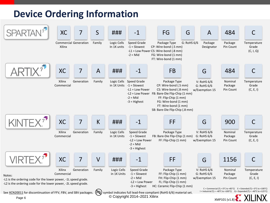# **Device Ordering Information**

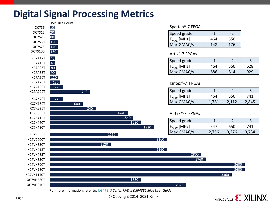# **Digital Signal Processing Metrics**



Page 7 Copyright 2014–2021 Xilinx

 $X$ MP101 (v1.8)  $X$  XILINX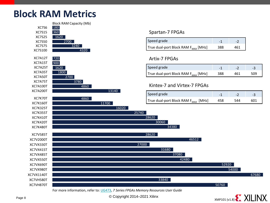### **Block RAM Metrics**



#### Spartan-7 FPGAs

| Speed grade                              |     |     |
|------------------------------------------|-----|-----|
| True dual-port Block RAM $F_{MAX}$ [MHz] | 388 | 461 |

#### Artix-7 FPGAs

| Speed grade                              |     | $\sim$ . |     |
|------------------------------------------|-----|----------|-----|
| True dual-port Block RAM $F_{MAX}$ [MHz] | 388 | 461      | 509 |

#### Kintex-7 and Virtex-7 FPGAs

34380

37080

42480

46512

30060

33840

31680

| Speed grade                              |     | $\sim$ . |  |
|------------------------------------------|-----|----------|--|
| True dual-port Block RAM $F_{MAX}$ [MHz] | 458 | 544      |  |



67680

52920

54000

Page 8 **Copyright 2014–2021** Xilinx

XC7VH870T 50760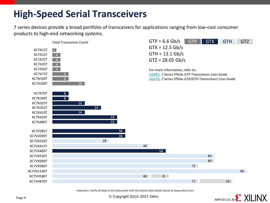# **High-Speed Serial Transceivers**

7 series devices provide a broad portfolio of transceivers for applications ranging from low-cost consumer products to high-end networking systems.



Important: Verify all data in this document with the device data sheets found at www.xilinx.com



Page 9 **Copyright 2014–2021 Xilinx**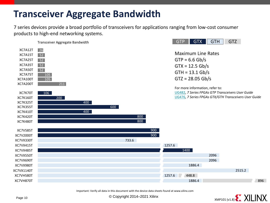# **Transceiver Aggregate Bandwidth**

7 series devices provide a broad portfolio of transceivers for applications ranging from low-cost consumer products to high-end networking systems.



Important: Verify all data in this document with the device data sheets found at www.xilinx.com

Page 10 **Copyright 2014–2021** Xilinx

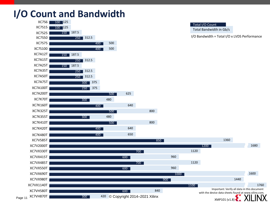# **I/O Count and Bandwidth**